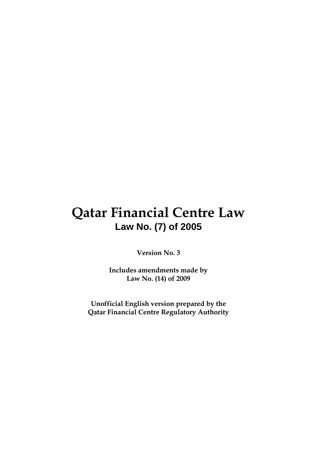# **Qatar Financial Centre Law Law No. (7) of 2005**

**Version No. 3** 

**Includes amendments made by Law No. (14) of 2009** 

**Unofficial English version prepared by the Qatar Financial Centre Regulatory Authority**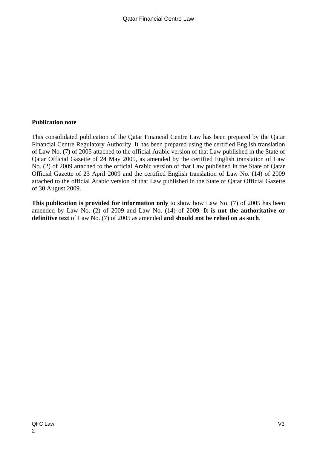## **Publication note**

 This consolidated publication of the Qatar Financial Centre Law has been prepared by the Qatar Financial Centre Regulatory Authority. It has been prepared using the certified English translation of Law No. (7) of 2005 attached to the official Arabic version of that Law published in the State of Qatar Official Gazette of 24 May 2005, as amended by the certified English translation of Law No. (2) of 2009 attached to the official Arabic version of that Law published in the State of Qatar Official Gazette of 23 April 2009 and the certified English translation of Law No. (14) of 2009 attached to the official Arabic version of that Law published in the State of Qatar Official Gazette of 30 August 2009.

**This publication is provided for information only** to show how Law No. (7) of 2005 has been amended by Law No. (2) of 2009 and Law No. (14) of 2009. **It is not the authoritative or definitive text** of Law No. (7) of 2005 as amended **and should not be relied on as such**.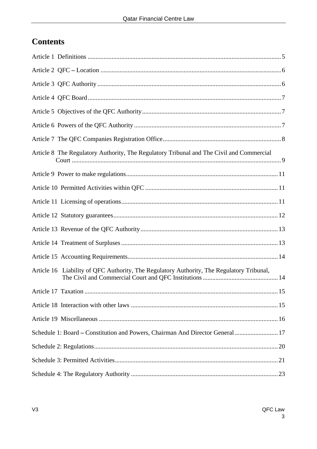## **Contents**

| Article 8 The Regulatory Authority, The Regulatory Tribunal and The Civil and Commercial  |
|-------------------------------------------------------------------------------------------|
|                                                                                           |
|                                                                                           |
|                                                                                           |
|                                                                                           |
|                                                                                           |
|                                                                                           |
|                                                                                           |
| Article 16 Liability of QFC Authority, The Regulatory Authority, The Regulatory Tribunal, |
| 15                                                                                        |
|                                                                                           |
|                                                                                           |
| Schedule 1: Board - Constitution and Powers, Chairman And Director General  17            |
|                                                                                           |
|                                                                                           |
|                                                                                           |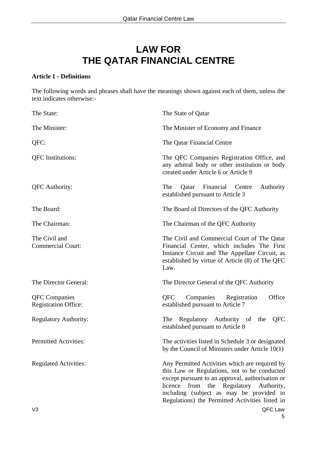## **LAW FOR THE QATAR FINANCIAL CENTRE**

#### **Article 1 - Definitions**

The following words and phrases shall have the meanings shown against each of them, unless the text indicates otherwise:-

| The State:                                          | The State of Qatar                                                                                                                                                                                                                                                                             |  |  |
|-----------------------------------------------------|------------------------------------------------------------------------------------------------------------------------------------------------------------------------------------------------------------------------------------------------------------------------------------------------|--|--|
| The Minister:                                       | The Minister of Economy and Finance                                                                                                                                                                                                                                                            |  |  |
| QFC:                                                | The Qatar Financial Centre                                                                                                                                                                                                                                                                     |  |  |
| <b>QFC</b> Institutions:                            | The QFC Companies Registration Office, and<br>any arbitral body or other institution or body<br>created under Article 6 or Article 9                                                                                                                                                           |  |  |
| <b>QFC</b> Authority:                               | Financial<br>The<br>Centre<br>Authority<br>Qatar<br>established pursuant to Article 3                                                                                                                                                                                                          |  |  |
| The Board:                                          | The Board of Directors of the QFC Authority                                                                                                                                                                                                                                                    |  |  |
| The Chairman:                                       | The Chairman of the QFC Authority                                                                                                                                                                                                                                                              |  |  |
| The Civil and<br><b>Commercial Court:</b>           | The Civil and Commercial Court of The Qatar<br>Financial Center, which includes The First<br>Instance Circuit and The Appellate Circuit, as<br>established by virtue of Article (8) of The QFC<br>Law.                                                                                         |  |  |
| The Director General:                               | The Director General of the QFC Authority                                                                                                                                                                                                                                                      |  |  |
| <b>QFC</b> Companies<br><b>Registration Office:</b> | Office<br><b>OFC</b><br>Companies<br>Registration<br>established pursuant to Article 7                                                                                                                                                                                                         |  |  |
| <b>Regulatory Authority:</b>                        | Regulatory Authority of the<br><b>QFC</b><br>The<br>established pursuant to Article 8                                                                                                                                                                                                          |  |  |
| <b>Permitted Activities:</b>                        | The activities listed in Schedule 3 or designated<br>by the Council of Ministers under Article $10(1)$                                                                                                                                                                                         |  |  |
| <b>Regulated Activities:</b>                        | Any Permitted Activities which are required by<br>this Law or Regulations, not to be conducted<br>except pursuant to an approval, authorisation or<br>from the Regulatory Authority,<br>licence<br>including (subject as may be provided in<br>Regulations) the Permitted Activities listed in |  |  |
| V <sub>3</sub>                                      | QFC Law                                                                                                                                                                                                                                                                                        |  |  |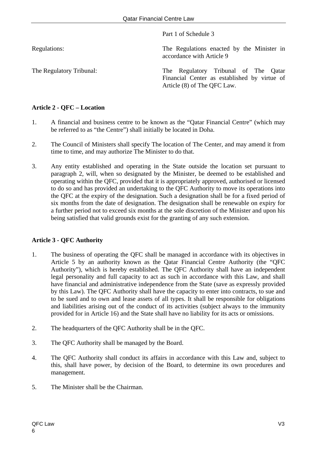Part 1 of Schedule 3

Regulations: The Regulations enacted by the Minister in accordance with Article 9

The Regulatory Tribunal: The Regulatory Tribunal of The Qatar Financial Center as established by virtue of Article (8) of The QFC Law.

## **Article 2 - QFC – Location**

- 1. A financial and business centre to be known as the "Qatar Financial Centre" (which may be referred to as "the Centre") shall initially be located in Doha.
- 2. The Council of Ministers shall specify The location of The Center, and may amend it from time to time, and may authorize The Minister to do that.
- 3. Any entity established and operating in the State outside the location set pursuant to paragraph 2, will, when so designated by the Minister, be deemed to be established and operating within the QFC, provided that it is appropriately approved, authorised or licensed to do so and has provided an undertaking to the QFC Authority to move its operations into the QFC at the expiry of the designation. Such a designation shall be for a fixed period of six months from the date of designation. The designation shall be renewable on expiry for a further period not to exceed six months at the sole discretion of the Minister and upon his being satisfied that valid grounds exist for the granting of any such extension.

## **Article 3 - QFC Authority**

- 1. The business of operating the QFC shall be managed in accordance with its objectives in Article 5 by an authority known as the Qatar Financial Centre Authority (the "QFC Authority"), which is hereby established. The QFC Authority shall have an independent legal personality and full capacity to act as such in accordance with this Law, and shall have financial and administrative independence from the State (save as expressly provided by this Law). The QFC Authority shall have the capacity to enter into contracts, to sue and to be sued and to own and lease assets of all types. It shall be responsible for obligations and liabilities arising out of the conduct of its activities (subject always to the immunity provided for in Article 16) and the State shall have no liability for its acts or omissions.
- 2. The headquarters of the QFC Authority shall be in the QFC.
- 3. The QFC Authority shall be managed by the Board.
- 4. The QFC Authority shall conduct its affairs in accordance with this Law and, subject to this, shall have power, by decision of the Board, to determine its own procedures and management.
- 5. The Minister shall be the Chairman.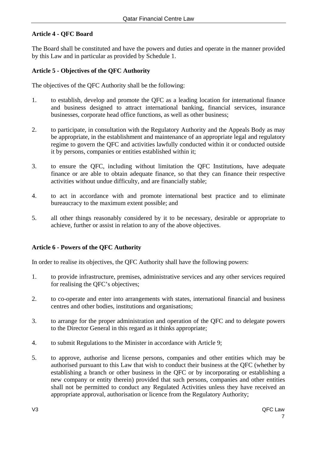## **Article 4 - QFC Board**

The Board shall be constituted and have the powers and duties and operate in the manner provided by this Law and in particular as provided by Schedule 1.

#### **Article 5 - Objectives of the QFC Authority**

The objectives of the QFC Authority shall be the following:

- 1. to establish, develop and promote the QFC as a leading location for international finance and business designed to attract international banking, financial services, insurance businesses, corporate head office functions, as well as other business;
- 2. to participate, in consultation with the Regulatory Authority and the Appeals Body as may be appropriate, in the establishment and maintenance of an appropriate legal and regulatory regime to govern the QFC and activities lawfully conducted within it or conducted outside it by persons, companies or entities established within it;
- 3. to ensure the QFC, including without limitation the QFC Institutions, have adequate finance or are able to obtain adequate finance, so that they can finance their respective activities without undue difficulty, and are financially stable;
- 4. to act in accordance with and promote international best practice and to eliminate bureaucracy to the maximum extent possible; and
- 5. all other things reasonably considered by it to be necessary, desirable or appropriate to achieve, further or assist in relation to any of the above objectives.

## **Article 6 - Powers of the QFC Authority**

In order to realise its objectives, the QFC Authority shall have the following powers:

- 1. to provide infrastructure, premises, administrative services and any other services required for realising the QFC's objectives;
- 2. to co-operate and enter into arrangements with states, international financial and business centres and other bodies, institutions and organisations;
- 3. to arrange for the proper administration and operation of the QFC and to delegate powers to the Director General in this regard as it thinks appropriate;
- 4. to submit Regulations to the Minister in accordance with Article 9;
- 5. to approve, authorise and license persons, companies and other entities which may be authorised pursuant to this Law that wish to conduct their business at the QFC (whether by establishing a branch or other business in the QFC or by incorporating or establishing a new company or entity therein) provided that such persons, companies and other entities shall not be permitted to conduct any Regulated Activities unless they have received an appropriate approval, authorisation or licence from the Regulatory Authority;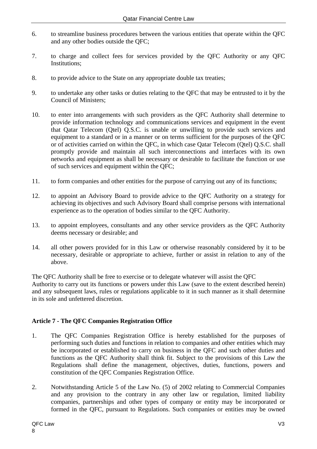- 6. to streamline business procedures between the various entities that operate within the QFC and any other bodies outside the QFC;
- 7. to charge and collect fees for services provided by the QFC Authority or any QFC Institutions;
- 8. to provide advice to the State on any appropriate double tax treaties;
- 9. to undertake any other tasks or duties relating to the QFC that may be entrusted to it by the Council of Ministers;
- 10. to enter into arrangements with such providers as the QFC Authority shall determine to provide information technology and communications services and equipment in the event that Qatar Telecom (Qtel) Q.S.C. is unable or unwilling to provide such services and equipment to a standard or in a manner or on terms sufficient for the purposes of the QFC or of activities carried on within the QFC, in which case Qatar Telecom (Qtel) Q.S.C. shall promptly provide and maintain all such interconnections and interfaces with its own networks and equipment as shall be necessary or desirable to facilitate the function or use of such services and equipment within the QFC;
- 11. to form companies and other entities for the purpose of carrying out any of its functions;
- 12. to appoint an Advisory Board to provide advice to the QFC Authority on a strategy for achieving its objectives and such Advisory Board shall comprise persons with international experience as to the operation of bodies similar to the QFC Authority.
- 13. to appoint employees, consultants and any other service providers as the QFC Authority deems necessary or desirable; and
- 14. all other powers provided for in this Law or otherwise reasonably considered by it to be necessary, desirable or appropriate to achieve, further or assist in relation to any of the above.

The QFC Authority shall be free to exercise or to delegate whatever will assist the QFC Authority to carry out its functions or powers under this Law (save to the extent described herein) and any subsequent laws, rules or regulations applicable to it in such manner as it shall determine in its sole and unfettered discretion.

## **Article 7 - The QFC Companies Registration Office**

- 1. The QFC Companies Registration Office is hereby established for the purposes of performing such duties and functions in relation to companies and other entities which may be incorporated or established to carry on business in the QFC and such other duties and functions as the QFC Authority shall think fit. Subject to the provisions of this Law the Regulations shall define the management, objectives, duties, functions, powers and constitution of the QFC Companies Registration Office.
- 2. Notwithstanding Article 5 of the Law No. (5) of 2002 relating to Commercial Companies and any provision to the contrary in any other law or regulation, limited liability companies, partnerships and other types of company or entity may be incorporated or formed in the QFC, pursuant to Regulations. Such companies or entities may be owned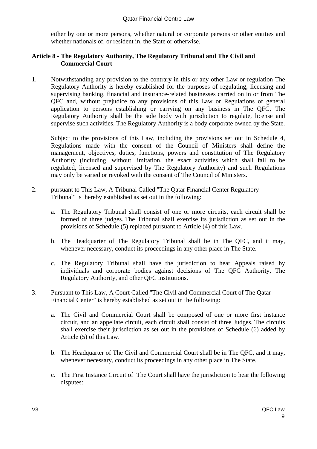either by one or more persons, whether natural or corporate persons or other entities and whether nationals of, or resident in, the State or otherwise.

#### **Article 8 - The Regulatory Authority, The Regulatory Tribunal and The Civil and Commercial Court**

1. Notwithstanding any provision to the contrary in this or any other Law or regulation The Regulatory Authority is hereby established for the purposes of regulating, licensing and supervising banking, financial and insurance-related businesses carried on in or from The QFC and, without prejudice to any provisions of this Law or Regulations of general application to persons establishing or carrying on any business in The QFC, The Regulatory Authority shall be the sole body with jurisdiction to regulate, license and supervise such activities. The Regulatory Authority is a body corporate owned by the State.

 Subject to the provisions of this Law, including the provisions set out in Schedule 4, Regulations made with the consent of the Council of Ministers shall define the management, objectives, duties, functions, powers and constitution of The Regulatory Authority (including, without limitation, the exact activities which shall fall to be regulated, licensed and supervised by The Regulatory Authority) and such Regulations may only be varied or revoked with the consent of The Council of Ministers.

- 2. pursuant to This Law, A Tribunal Called "The Qatar Financial Center Regulatory Tribunal" is hereby established as set out in the following:
	- a. The Regulatory Tribunal shall consist of one or more circuits, each circuit shall be formed of three judges. The Tribunal shall exercise its jurisdiction as set out in the provisions of Schedule (5) replaced pursuant to Article (4) of this Law.
	- b. The Headquarter of The Regulatory Tribunal shall be in The QFC, and it may, whenever necessary, conduct its proceedings in any other place in The State.
	- c. The Regulatory Tribunal shall have the jurisdiction to hear Appeals raised by individuals and corporate bodies against decisions of The QFC Authority, The Regulatory Authority, and other QFC institutions.
- 3. Pursuant to This Law, A Court Called "The Civil and Commercial Court of The Qatar Financial Center" is hereby established as set out in the following:
	- a. The Civil and Commercial Court shall be composed of one or more first instance circuit, and an appellate circuit, each circuit shall consist of three Judges. The circuits shall exercise their jurisdiction as set out in the provisions of Schedule (6) added by Article (5) of this Law.
	- b. The Headquarter of The Civil and Commercial Court shall be in The QFC, and it may, whenever necessary, conduct its proceedings in any other place in The State.
	- c. The First Instance Circuit of The Court shall have the jurisdiction to hear the following disputes: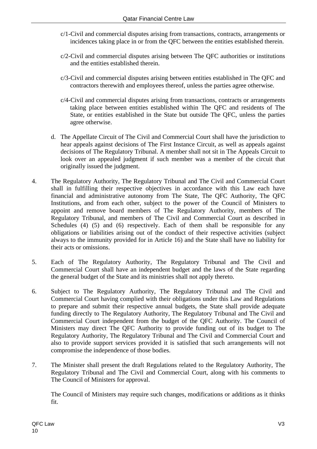- c/1-Civil and commercial disputes arising from transactions, contracts, arrangements or incidences taking place in or from the QFC between the entities established therein.
- c/2-Civil and commercial disputes arising between The QFC authorities or institutions and the entities established therein.
- c/3-Civil and commercial disputes arising between entities established in The QFC and contractors therewith and employees thereof, unless the parties agree otherwise.
- c/4-Civil and commercial disputes arising from transactions, contracts or arrangements taking place between entities established within The QFC and residents of The State, or entities established in the State but outside The QFC, unless the parties agree otherwise.
- d. The Appellate Circuit of The Civil and Commercial Court shall have the jurisdiction to hear appeals against decisions of The First Instance Circuit, as well as appeals against decisions of The Regulatory Tribunal. A member shall not sit in The Appeals Circuit to look over an appealed judgment if such member was a member of the circuit that originally issued the judgment.
- 4. The Regulatory Authority, The Regulatory Tribunal and The Civil and Commercial Court shall in fulfilling their respective objectives in accordance with this Law each have financial and administrative autonomy from The State, The QFC Authority, The QFC Institutions, and from each other, subject to the power of the Council of Ministers to appoint and remove board members of The Regulatory Authority, members of The Regulatory Tribunal, and members of The Civil and Commercial Court as described in Schedules (4) (5) and (6) respectively. Each of them shall be responsible for any obligations or liabilities arising out of the conduct of their respective activities (subject always to the immunity provided for in Article 16) and the State shall have no liability for their acts or omissions.
- 5. Each of The Regulatory Authority, The Regulatory Tribunal and The Civil and Commercial Court shall have an independent budget and the laws of the State regarding the general budget of the State and its ministries shall not apply thereto.
- 6. Subject to The Regulatory Authority, The Regulatory Tribunal and The Civil and Commercial Court having complied with their obligations under this Law and Regulations to prepare and submit their respective annual budgets, the State shall provide adequate funding directly to The Regulatory Authority, The Regulatory Tribunal and The Civil and Commercial Court independent from the budget of the QFC Authority. The Council of Ministers may direct The QFC Authority to provide funding out of its budget to The Regulatory Authority, The Regulatory Tribunal and The Civil and Commercial Court and also to provide support services provided it is satisfied that such arrangements will not compromise the independence of those bodies.
- 7. The Minister shall present the draft Regulations related to the Regulatory Authority, The Regulatory Tribunal and The Civil and Commercial Court, along with his comments to The Council of Ministers for approval.

 The Council of Ministers may require such changes, modifications or additions as it thinks fit.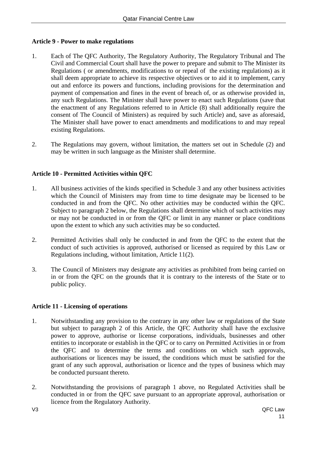## **Article 9 - Power to make regulations**

- 1. Each of The QFC Authority, The Regulatory Authority, The Regulatory Tribunal and The Civil and Commercial Court shall have the power to prepare and submit to The Minister its Regulations ( or amendments, modifications to or repeal of the existing regulations) as it shall deem appropriate to achieve its respective objectives or to aid it to implement, carry out and enforce its powers and functions, including provisions for the determination and payment of compensation and fines in the event of breach of, or as otherwise provided in, any such Regulations. The Minister shall have power to enact such Regulations (save that the enactment of any Regulations referred to in Article (8) shall additionally require the consent of The Council of Ministers) as required by such Article) and, save as aforesaid, The Minister shall have power to enact amendments and modifications to and may repeal existing Regulations.
- 2. The Regulations may govern, without limitation, the matters set out in Schedule (2) and may be written in such language as the Minister shall determine.

## **Article 10 - Permitted Activities within QFC**

- 1. All business activities of the kinds specified in Schedule 3 and any other business activities which the Council of Ministers may from time to time designate may be licensed to be conducted in and from the QFC. No other activities may be conducted within the QFC. Subject to paragraph 2 below, the Regulations shall determine which of such activities may or may not be conducted in or from the QFC or limit in any manner or place conditions upon the extent to which any such activities may be so conducted.
- 2. Permitted Activities shall only be conducted in and from the QFC to the extent that the conduct of such activities is approved, authorised or licensed as required by this Law or Regulations including, without limitation, Article 11(2).
- 3. The Council of Ministers may designate any activities as prohibited from being carried on in or from the QFC on the grounds that it is contrary to the interests of the State or to public policy.

#### **Article 11 - Licensing of operations**

- 1. Notwithstanding any provision to the contrary in any other law or regulations of the State but subject to paragraph 2 of this Article, the QFC Authority shall have the exclusive power to approve, authorise or license corporations, individuals, businesses and other entities to incorporate or establish in the QFC or to carry on Permitted Activities in or from the QFC and to determine the terms and conditions on which such approvals, authorisations or licences may be issued, the conditions which must be satisfied for the grant of any such approval, authorisation or licence and the types of business which may be conducted pursuant thereto.
- 2. Notwithstanding the provisions of paragraph 1 above, no Regulated Activities shall be conducted in or from the QFC save pursuant to an appropriate approval, authorisation or licence from the Regulatory Authority.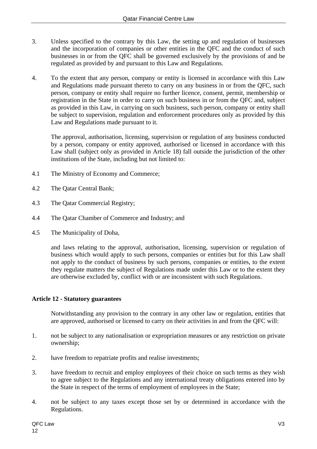- 3. Unless specified to the contrary by this Law, the setting up and regulation of businesses and the incorporation of companies or other entities in the QFC and the conduct of such businesses in or from the QFC shall be governed exclusively by the provisions of and be regulated as provided by and pursuant to this Law and Regulations.
- 4. To the extent that any person, company or entity is licensed in accordance with this Law and Regulations made pursuant thereto to carry on any business in or from the QFC, such person, company or entity shall require no further licence, consent, permit, membership or registration in the State in order to carry on such business in or from the QFC and, subject as provided in this Law, in carrying on such business, such person, company or entity shall be subject to supervision, regulation and enforcement procedures only as provided by this Law and Regulations made pursuant to it.

 The approval, authorisation, licensing, supervision or regulation of any business conducted by a person, company or entity approved, authorised or licensed in accordance with this Law shall (subject only as provided in Article 18) fall outside the jurisdiction of the other institutions of the State, including but not limited to:

- 4.1 The Ministry of Economy and Commerce;
- 4.2 The Qatar Central Bank;
- 4.3 The Qatar Commercial Registry;
- 4.4 The Qatar Chamber of Commerce and Industry; and
- 4.5 The Municipality of Doha,

 and laws relating to the approval, authorisation, licensing, supervision or regulation of business which would apply to such persons, companies or entities but for this Law shall not apply to the conduct of business by such persons, companies or entities, to the extent they regulate matters the subject of Regulations made under this Law or to the extent they are otherwise excluded by, conflict with or are inconsistent with such Regulations.

#### **Article 12 - Statutory guarantees**

Notwithstanding any provision to the contrary in any other law or regulation, entities that are approved, authorised or licensed to carry on their activities in and from the QFC will:

- 1. not be subject to any nationalisation or expropriation measures or any restriction on private ownership;
- 2. have freedom to repatriate profits and realise investments;
- 3. have freedom to recruit and employ employees of their choice on such terms as they wish to agree subject to the Regulations and any international treaty obligations entered into by the State in respect of the terms of employment of employees in the State;
- 4. not be subject to any taxes except those set by or determined in accordance with the Regulations.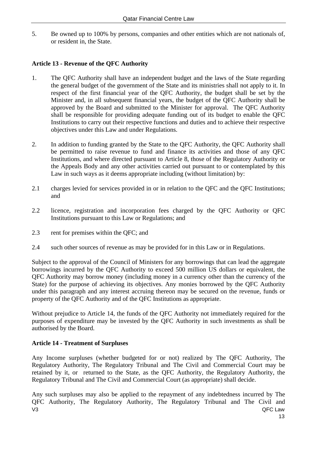5. Be owned up to 100% by persons, companies and other entities which are not nationals of, or resident in, the State.

## **Article 13 - Revenue of the QFC Authority**

- 1. The QFC Authority shall have an independent budget and the laws of the State regarding the general budget of the government of the State and its ministries shall not apply to it. In respect of the first financial year of the QFC Authority, the budget shall be set by the Minister and, in all subsequent financial years, the budget of the QFC Authority shall be approved by the Board and submitted to the Minister for approval. The QFC Authority shall be responsible for providing adequate funding out of its budget to enable the QFC Institutions to carry out their respective functions and duties and to achieve their respective objectives under this Law and under Regulations.
- 2. In addition to funding granted by the State to the QFC Authority, the QFC Authority shall be permitted to raise revenue to fund and finance its activities and those of any QFC Institutions, and where directed pursuant to Article 8, those of the Regulatory Authority or the Appeals Body and any other activities carried out pursuant to or contemplated by this Law in such ways as it deems appropriate including (without limitation) by:
- 2.1 charges levied for services provided in or in relation to the QFC and the QFC Institutions; and
- 2.2 licence, registration and incorporation fees charged by the QFC Authority or QFC Institutions pursuant to this Law or Regulations; and
- 2.3 rent for premises within the QFC; and
- 2.4 such other sources of revenue as may be provided for in this Law or in Regulations.

Subject to the approval of the Council of Ministers for any borrowings that can lead the aggregate borrowings incurred by the QFC Authority to exceed 500 million US dollars or equivalent, the QFC Authority may borrow money (including money in a currency other than the currency of the State) for the purpose of achieving its objectives. Any monies borrowed by the QFC Authority under this paragraph and any interest accruing thereon may be secured on the revenue, funds or property of the QFC Authority and of the QFC Institutions as appropriate.

Without prejudice to Article 14, the funds of the QFC Authority not immediately required for the purposes of expenditure may be invested by the QFC Authority in such investments as shall be authorised by the Board.

#### **Article 14 - Treatment of Surpluses**

 Any Income surpluses (whether budgeted for or not) realized by The QFC Authority, The Regulatory Authority, The Regulatory Tribunal and The Civil and Commercial Court may be retained by it, or returned to the State, as the QFC Authority, the Regulatory Authority, the Regulatory Tribunal and The Civil and Commercial Court (as appropriate) shall decide.

V3 QFC Law Any such surpluses may also be applied to the repayment of any indebtedness incurred by The QFC Authority, The Regulatory Authority, The Regulatory Tribunal and The Civil and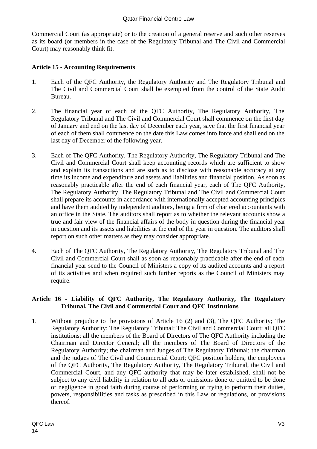Commercial Court (as appropriate) or to the creation of a general reserve and such other reserves as its board (or members in the case of the Regulatory Tribunal and The Civil and Commercial Court) may reasonably think fit.

## **Article 15 - Accounting Requirements**

- 1. Each of the QFC Authority, the Regulatory Authority and The Regulatory Tribunal and The Civil and Commercial Court shall be exempted from the control of the State Audit Bureau.
- 2. The financial year of each of the QFC Authority, The Regulatory Authority, The Regulatory Tribunal and The Civil and Commercial Court shall commence on the first day of January and end on the last day of December each year, save that the first financial year of each of them shall commence on the date this Law comes into force and shall end on the last day of December of the following year.
- 3. Each of The QFC Authority, The Regulatory Authority, The Regulatory Tribunal and The Civil and Commercial Court shall keep accounting records which are sufficient to show and explain its transactions and are such as to disclose with reasonable accuracy at any time its income and expenditure and assets and liabilities and financial position. As soon as reasonably practicable after the end of each financial year, each of The QFC Authority, The Regulatory Authority, The Regulatory Tribunal and The Civil and Commercial Court shall prepare its accounts in accordance with internationally accepted accounting principles and have them audited by independent auditors, being a firm of chartered accountants with an office in the State. The auditors shall report as to whether the relevant accounts show a true and fair view of the financial affairs of the body in question during the financial year in question and its assets and liabilities at the end of the year in question. The auditors shall report on such other matters as they may consider appropriate.
- 4. Each of The QFC Authority, The Regulatory Authority, The Regulatory Tribunal and The Civil and Commercial Court shall as soon as reasonably practicable after the end of each financial year send to the Council of Ministers a copy of its audited accounts and a report of its activities and when required such further reports as the Council of Ministers may require.

## **Article 16 - Liability of QFC Authority, The Regulatory Authority, The Regulatory Tribunal, The Civil and Commercial Court and QFC Institutions**

1. Without prejudice to the provisions of Article 16 (2) and (3), The QFC Authority; The Regulatory Authority; The Regulatory Tribunal; The Civil and Commercial Court; all QFC institutions; all the members of the Board of Directors of The QFC Authority including the Chairman and Director General; all the members of The Board of Directors of the Regulatory Authority; the chairman and Judges of The Regulatory Tribunal; the chairman and the judges of The Civil and Commercial Court; QFC position holders; the employees of the QFC Authority, The Regulatory Authority, The Regulatory Tribunal, the Civil and Commercial Court, and any QFC authority that may be later established, shall not be subject to any civil liability in relation to all acts or omissions done or omitted to be done or negligence in good faith during course of performing or trying to perform their duties, powers, responsibilities and tasks as prescribed in this Law or regulations, or provisions thereof.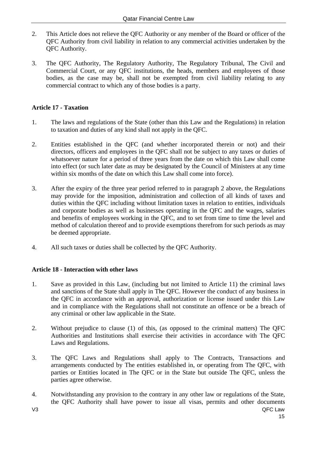- 2. This Article does not relieve the QFC Authority or any member of the Board or officer of the QFC Authority from civil liability in relation to any commercial activities undertaken by the QFC Authority.
- 3. The QFC Authority, The Regulatory Authority, The Regulatory Tribunal, The Civil and Commercial Court, or any QFC institutions, the heads, members and employees of those bodies, as the case may be, shall not be exempted from civil liability relating to any commercial contract to which any of those bodies is a party.

## **Article 17 - Taxation**

- 1. The laws and regulations of the State (other than this Law and the Regulations) in relation to taxation and duties of any kind shall not apply in the QFC.
- 2. Entities established in the QFC (and whether incorporated therein or not) and their directors, officers and employees in the QFC shall not be subject to any taxes or duties of whatsoever nature for a period of three years from the date on which this Law shall come into effect (or such later date as may be designated by the Council of Ministers at any time within six months of the date on which this Law shall come into force).
- 3. After the expiry of the three year period referred to in paragraph 2 above, the Regulations may provide for the imposition, administration and collection of all kinds of taxes and duties within the QFC including without limitation taxes in relation to entities, individuals and corporate bodies as well as businesses operating in the QFC and the wages, salaries and benefits of employees working in the QFC, and to set from time to time the level and method of calculation thereof and to provide exemptions therefrom for such periods as may be deemed appropriate.
- 4. All such taxes or duties shall be collected by the QFC Authority.

## **Article 18 - Interaction with other laws**

- 1. Save as provided in this Law, (including but not limited to Article 11) the criminal laws and sanctions of the State shall apply in The QFC. However the conduct of any business in the QFC in accordance with an approval, authorization or license issued under this Law and in compliance with the Regulations shall not constitute an offence or be a breach of any criminal or other law applicable in the State.
- 2. Without prejudice to clause (1) of this, (as opposed to the criminal matters) The QFC Authorities and Institutions shall exercise their activities in accordance with The QFC Laws and Regulations.
- 3. The QFC Laws and Regulations shall apply to The Contracts, Transactions and arrangements conducted by The entities established in, or operating from The QFC, with parties or Entities located in The QFC or in the State but outside The QFC, unless the parties agree otherwise.
- V3 QFC Law 4. Notwithstanding any provision to the contrary in any other law or regulations of the State, the QFC Authority shall have power to issue all visas, permits and other documents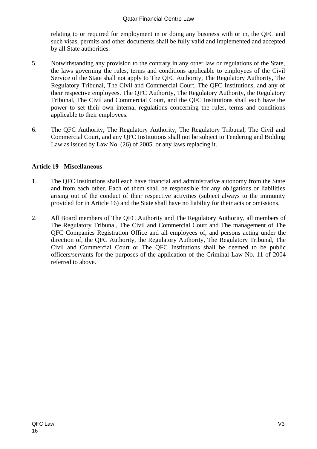relating to or required for employment in or doing any business with or in, the QFC and such visas, permits and other documents shall be fully valid and implemented and accepted by all State authorities.

- 5. Notwithstanding any provision to the contrary in any other law or regulations of the State, the laws governing the rules, terms and conditions applicable to employees of the Civil Service of the State shall not apply to The QFC Authority, The Regulatory Authority, The Regulatory Tribunal, The Civil and Commercial Court, The QFC Institutions, and any of their respective employees. The QFC Authority, The Regulatory Authority, the Regulatory Tribunal, The Civil and Commercial Court, and the QFC Institutions shall each have the power to set their own internal regulations concerning the rules, terms and conditions applicable to their employees.
- 6. The QFC Authority, The Regulatory Authority, The Regulatory Tribunal, The Civil and Commercial Court, and any QFC Institutions shall not be subject to Tendering and Bidding Law as issued by Law No. (26) of 2005 or any laws replacing it.

## **Article 19 - Miscellaneous**

- 1. The QFC Institutions shall each have financial and administrative autonomy from the State and from each other. Each of them shall be responsible for any obligations or liabilities arising out of the conduct of their respective activities (subject always to the immunity provided for in Article 16) and the State shall have no liability for their acts or omissions.
- 2. All Board members of The QFC Authority and The Regulatory Authority, all members of The Regulatory Tribunal, The Civil and Commercial Court and The management of The QFC Companies Registration Office and all employees of, and persons acting under the direction of, the QFC Authority, the Regulatory Authority, The Regulatory Tribunal, The Civil and Commercial Court or The QFC Institutions shall be deemed to be public officers/servants for the purposes of the application of the Criminal Law No. 11 of 2004 referred to above.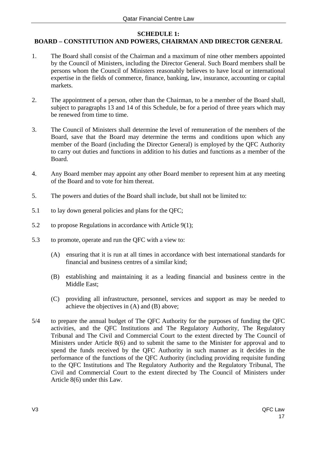#### **SCHEDULE 1:**

## **BOARD – CONSTITUTION AND POWERS, CHAIRMAN AND DIRECTOR GENERAL**

- 1. The Board shall consist of the Chairman and a maximum of nine other members appointed by the Council of Ministers, including the Director General. Such Board members shall be persons whom the Council of Ministers reasonably believes to have local or international expertise in the fields of commerce, finance, banking, law, insurance, accounting or capital markets.
- 2. The appointment of a person, other than the Chairman, to be a member of the Board shall, subject to paragraphs 13 and 14 of this Schedule, be for a period of three years which may be renewed from time to time.
- 3. The Council of Ministers shall determine the level of remuneration of the members of the Board, save that the Board may determine the terms and conditions upon which any member of the Board (including the Director General) is employed by the QFC Authority to carry out duties and functions in addition to his duties and functions as a member of the Board.
- 4. Any Board member may appoint any other Board member to represent him at any meeting of the Board and to vote for him thereat.
- 5. The powers and duties of the Board shall include, but shall not be limited to:
- 5.1 to lay down general policies and plans for the QFC;
- 5.2 to propose Regulations in accordance with Article 9(1);
- 5.3 to promote, operate and run the QFC with a view to:
	- (A) ensuring that it is run at all times in accordance with best international standards for financial and business centres of a similar kind;
	- (B) establishing and maintaining it as a leading financial and business centre in the Middle East;
	- (C) providing all infrastructure, personnel, services and support as may be needed to achieve the objectives in (A) and (B) above;
- 5/4 to prepare the annual budget of The QFC Authority for the purposes of funding the QFC activities, and the QFC Institutions and The Regulatory Authority, The Regulatory Tribunal and The Civil and Commercial Court to the extent directed by The Council of Ministers under Article 8(6) and to submit the same to the Minister for approval and to spend the funds received by the QFC Authority in such manner as it decides in the performance of the functions of the QFC Authority (including providing requisite funding to the QFC Institutions and The Regulatory Authority and the Regulatory Tribunal, The Civil and Commercial Court to the extent directed by The Council of Ministers under Article 8(6) under this Law.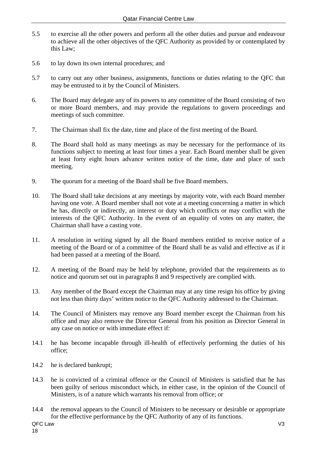- 5.5 to exercise all the other powers and perform all the other duties and pursue and endeavour to achieve all the other objectives of the QFC Authority as provided by or contemplated by this Law;
- 5.6 to lay down its own internal procedures; and
- 5.7 to carry out any other business, assignments, functions or duties relating to the QFC that may be entrusted to it by the Council of Ministers.
- 6. The Board may delegate any of its powers to any committee of the Board consisting of two or more Board members, and may provide the regulations to govern proceedings and meetings of such committee.
- 7. The Chairman shall fix the date, time and place of the first meeting of the Board.
- 8. The Board shall hold as many meetings as may be necessary for the performance of its functions subject to meeting at least four times a year. Each Board member shall be given at least forty eight hours advance written notice of the time, date and place of such meeting.
- 9. The quorum for a meeting of the Board shall be five Board members.
- 10. The Board shall take decisions at any meetings by majority vote, with each Board member having one vote. A Board member shall not vote at a meeting concerning a matter in which he has, directly or indirectly, an interest or duty which conflicts or may conflict with the interests of the QFC Authority. In the event of an equality of votes on any matter, the Chairman shall have a casting vote.
- 11. A resolution in writing signed by all the Board members entitled to receive notice of a meeting of the Board or of a committee of the Board shall be as valid and effective as if it had been passed at a meeting of the Board.
- 12. A meeting of the Board may be held by telephone, provided that the requirements as to notice and quorum set out in paragraphs 8 and 9 respectively are complied with.
- 13. Any member of the Board except the Chairman may at any time resign his office by giving not less than thirty days' written notice to the QFC Authority addressed to the Chairman.
- 14. The Council of Ministers may remove any Board member except the Chairman from his office and may also remove the Director General from his position as Director General in any case on notice or with immediate effect if:
- 14.1 he has become incapable through ill-health of effectively performing the duties of his office;
- 14.2 he is declared bankrupt;
- 14.3 he is convicted of a criminal offence or the Council of Ministers is satisfied that he has been guilty of serious misconduct which, in either case, in the opinion of the Council of Ministers, is of a nature which warrants his removal from office; or
- 14.4 the removal appears to the Council of Ministers to be necessary or desirable or appropriate for the effective performance by the QFC Authority of any of its functions.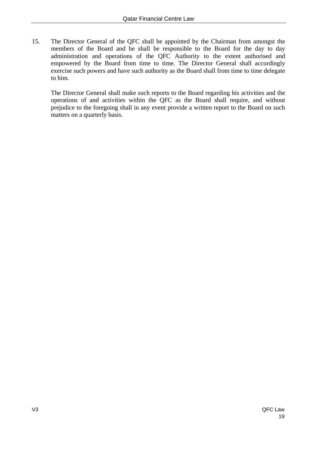15. The Director General of the QFC shall be appointed by the Chairman from amongst the members of the Board and he shall be responsible to the Board for the day to day administration and operations of the QFC Authority to the extent authorised and empowered by the Board from time to time. The Director General shall accordingly exercise such powers and have such authority as the Board shall from time to time delegate to him.

The Director General shall make such reports to the Board regarding his activities and the operations of and activities within the QFC as the Board shall require, and without prejudice to the foregoing shall in any event provide a written report to the Board on such matters on a quarterly basis.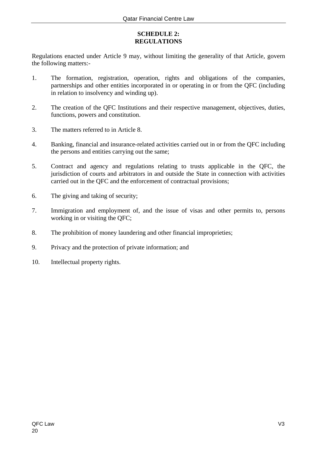## **SCHEDULE 2: REGULATIONS**

Regulations enacted under Article 9 may, without limiting the generality of that Article, govern the following matters:-

- 1. The formation, registration, operation, rights and obligations of the companies, partnerships and other entities incorporated in or operating in or from the QFC (including in relation to insolvency and winding up).
- 2. The creation of the QFC Institutions and their respective management, objectives, duties, functions, powers and constitution.
- 3. The matters referred to in Article 8.
- 4. Banking, financial and insurance-related activities carried out in or from the QFC including the persons and entities carrying out the same;
- 5. Contract and agency and regulations relating to trusts applicable in the QFC, the jurisdiction of courts and arbitrators in and outside the State in connection with activities carried out in the QFC and the enforcement of contractual provisions;
- 6. The giving and taking of security;
- 7. Immigration and employment of, and the issue of visas and other permits to, persons working in or visiting the QFC;
- 8. The prohibition of money laundering and other financial improprieties;
- 9. Privacy and the protection of private information; and
- 10. Intellectual property rights.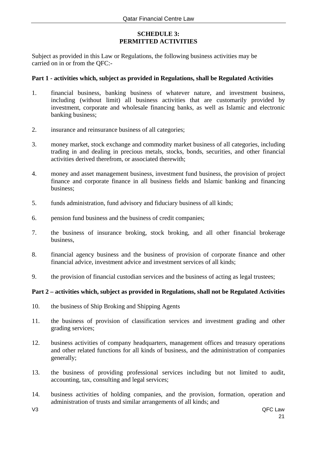## **SCHEDULE 3: PERMITTED ACTIVITIES**

Subject as provided in this Law or Regulations, the following business activities may be carried on in or from the QFC:-

#### **Part 1 - activities which, subject as provided in Regulations, shall be Regulated Activities**

- 1. financial business, banking business of whatever nature, and investment business, including (without limit) all business activities that are customarily provided by investment, corporate and wholesale financing banks, as well as Islamic and electronic banking business;
- 2. insurance and reinsurance business of all categories;
- 3. money market, stock exchange and commodity market business of all categories, including trading in and dealing in precious metals, stocks, bonds, securities, and other financial activities derived therefrom, or associated therewith;
- 4. money and asset management business, investment fund business, the provision of project finance and corporate finance in all business fields and Islamic banking and financing business;
- 5. funds administration, fund advisory and fiduciary business of all kinds;
- 6. pension fund business and the business of credit companies;
- 7. the business of insurance broking, stock broking, and all other financial brokerage business,
- 8. financial agency business and the business of provision of corporate finance and other financial advice, investment advice and investment services of all kinds;
- 9. the provision of financial custodian services and the business of acting as legal trustees;

#### **Part 2 – activities which, subject as provided in Regulations, shall not be Regulated Activities**

- 10. the business of Ship Broking and Shipping Agents
- 11. the business of provision of classification services and investment grading and other grading services;
- 12. business activities of company headquarters, management offices and treasury operations and other related functions for all kinds of business, and the administration of companies generally;
- 13. the business of providing professional services including but not limited to audit, accounting, tax, consulting and legal services;
- 14. business activities of holding companies, and the provision, formation, operation and administration of trusts and similar arrangements of all kinds; and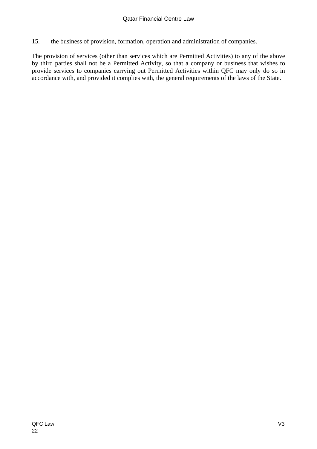15. the business of provision, formation, operation and administration of companies.

The provision of services (other than services which are Permitted Activities) to any of the above by third parties shall not be a Permitted Activity, so that a company or business that wishes to provide services to companies carrying out Permitted Activities within QFC may only do so in accordance with, and provided it complies with, the general requirements of the laws of the State.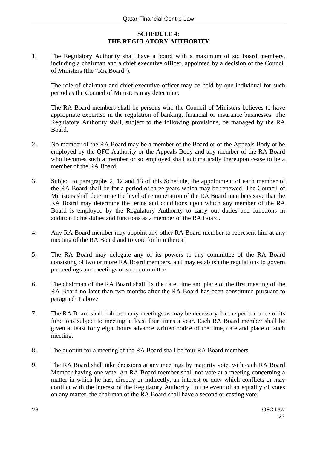## **SCHEDULE 4: THE REGULATORY AUTHORITY**

1. The Regulatory Authority shall have a board with a maximum of six board members, including a chairman and a chief executive officer, appointed by a decision of the Council of Ministers (the "RA Board").

 The role of chairman and chief executive officer may be held by one individual for such period as the Council of Ministers may determine.

 The RA Board members shall be persons who the Council of Ministers believes to have appropriate expertise in the regulation of banking, financial or insurance businesses. The Regulatory Authority shall, subject to the following provisions, be managed by the RA Board.

- 2. No member of the RA Board may be a member of the Board or of the Appeals Body or be employed by the QFC Authority or the Appeals Body and any member of the RA Board who becomes such a member or so employed shall automatically thereupon cease to be a member of the RA Board.
- 3. Subject to paragraphs 2, 12 and 13 of this Schedule, the appointment of each member of the RA Board shall be for a period of three years which may be renewed. The Council of Ministers shall determine the level of remuneration of the RA Board members save that the RA Board may determine the terms and conditions upon which any member of the RA Board is employed by the Regulatory Authority to carry out duties and functions in addition to his duties and functions as a member of the RA Board.
- 4. Any RA Board member may appoint any other RA Board member to represent him at any meeting of the RA Board and to vote for him thereat.
- 5. The RA Board may delegate any of its powers to any committee of the RA Board consisting of two or more RA Board members, and may establish the regulations to govern proceedings and meetings of such committee.
- 6. The chairman of the RA Board shall fix the date, time and place of the first meeting of the RA Board no later than two months after the RA Board has been constituted pursuant to paragraph 1 above.
- 7. The RA Board shall hold as many meetings as may be necessary for the performance of its functions subject to meeting at least four times a year. Each RA Board member shall be given at least forty eight hours advance written notice of the time, date and place of such meeting.
- 8. The quorum for a meeting of the RA Board shall be four RA Board members.
- 9. The RA Board shall take decisions at any meetings by majority vote, with each RA Board Member having one vote. An RA Board member shall not vote at a meeting concerning a matter in which he has, directly or indirectly, an interest or duty which conflicts or may conflict with the interest of the Regulatory Authority. In the event of an equality of votes on any matter, the chairman of the RA Board shall have a second or casting vote.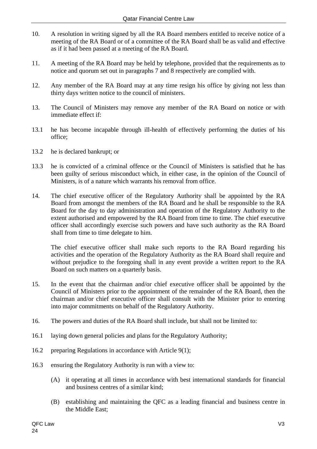- 10. A resolution in writing signed by all the RA Board members entitled to receive notice of a meeting of the RA Board or of a committee of the RA Board shall be as valid and effective as if it had been passed at a meeting of the RA Board.
- 11. A meeting of the RA Board may be held by telephone, provided that the requirements as to notice and quorum set out in paragraphs 7 and 8 respectively are complied with.
- 12. Any member of the RA Board may at any time resign his office by giving not less than thirty days written notice to the council of ministers.
- 13. The Council of Ministers may remove any member of the RA Board on notice or with immediate effect if:
- 13.1 he has become incapable through ill-health of effectively performing the duties of his office;
- 13.2 he is declared bankrupt; or
- 13.3 he is convicted of a criminal offence or the Council of Ministers is satisfied that he has been guilty of serious misconduct which, in either case, in the opinion of the Council of Ministers, is of a nature which warrants his removal from office.
- 14. The chief executive officer of the Regulatory Authority shall be appointed by the RA Board from amongst the members of the RA Board and he shall be responsible to the RA Board for the day to day administration and operation of the Regulatory Authority to the extent authorised and empowered by the RA Board from time to time. The chief executive officer shall accordingly exercise such powers and have such authority as the RA Board shall from time to time delegate to him.

The chief executive officer shall make such reports to the RA Board regarding his activities and the operation of the Regulatory Authority as the RA Board shall require and without prejudice to the foregoing shall in any event provide a written report to the RA Board on such matters on a quarterly basis.

- 15. In the event that the chairman and/or chief executive officer shall be appointed by the Council of Ministers prior to the appointment of the remainder of the RA Board, then the chairman and/or chief executive officer shall consult with the Minister prior to entering into major commitments on behalf of the Regulatory Authority.
- 16. The powers and duties of the RA Board shall include, but shall not be limited to:
- 16.1 laying down general policies and plans for the Regulatory Authority;
- 16.2 preparing Regulations in accordance with Article 9(1);
- 16.3 ensuring the Regulatory Authority is run with a view to:
	- (A) it operating at all times in accordance with best international standards for financial and business centres of a similar kind;
	- (B) establishing and maintaining the QFC as a leading financial and business centre in the Middle East;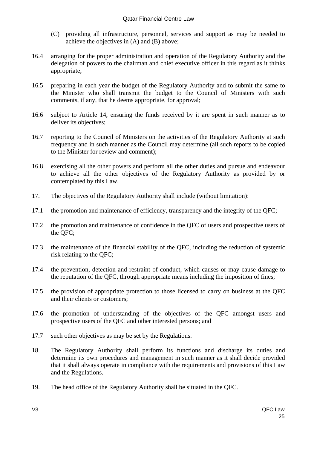- (C) providing all infrastructure, personnel, services and support as may be needed to achieve the objectives in (A) and (B) above;
- 16.4 arranging for the proper administration and operation of the Regulatory Authority and the delegation of powers to the chairman and chief executive officer in this regard as it thinks appropriate;
- 16.5 preparing in each year the budget of the Regulatory Authority and to submit the same to the Minister who shall transmit the budget to the Council of Ministers with such comments, if any, that he deems appropriate, for approval;
- 16.6 subject to Article 14, ensuring the funds received by it are spent in such manner as to deliver its objectives;
- 16.7 reporting to the Council of Ministers on the activities of the Regulatory Authority at such frequency and in such manner as the Council may determine (all such reports to be copied to the Minister for review and comment);
- 16.8 exercising all the other powers and perform all the other duties and pursue and endeavour to achieve all the other objectives of the Regulatory Authority as provided by or contemplated by this Law.
- 17. The objectives of the Regulatory Authority shall include (without limitation):
- 17.1 the promotion and maintenance of efficiency, transparency and the integrity of the QFC;
- 17.2 the promotion and maintenance of confidence in the QFC of users and prospective users of the QFC;
- 17.3 the maintenance of the financial stability of the QFC, including the reduction of systemic risk relating to the QFC;
- 17.4 the prevention, detection and restraint of conduct, which causes or may cause damage to the reputation of the QFC, through appropriate means including the imposition of fines;
- 17.5 the provision of appropriate protection to those licensed to carry on business at the QFC and their clients or customers;
- 17.6 the promotion of understanding of the objectives of the QFC amongst users and prospective users of the QFC and other interested persons; and
- 17.7 such other objectives as may be set by the Regulations.
- 18. The Regulatory Authority shall perform its functions and discharge its duties and determine its own procedures and management in such manner as it shall decide provided that it shall always operate in compliance with the requirements and provisions of this Law and the Regulations.
- 19. The head office of the Regulatory Authority shall be situated in the QFC.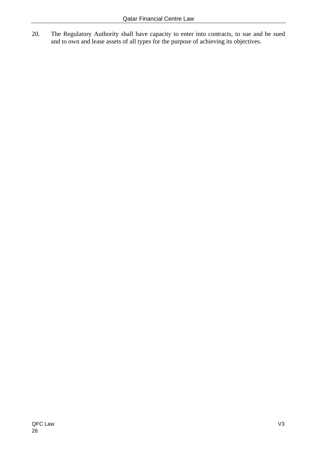20. The Regulatory Authority shall have capacity to enter into contracts, to sue and be sued and to own and lease assets of all types for the purpose of achieving its objectives.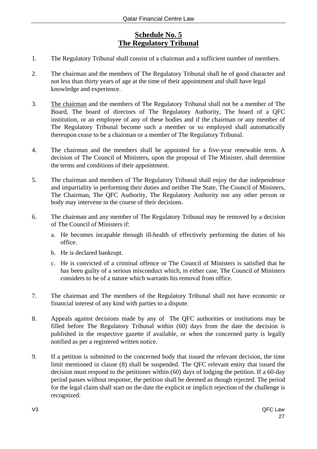## **Schedule No. 5 The Regulatory Tribunal**

- 1. The Regulatory Tribunal shall consist of a chairman and a sufficient number of members.
- 2. The chairman and the members of The Regulatory Tribunal shall be of good character and not less than thirty years of age at the time of their appointment and shall have legal knowledge and experience.
- 3. The chairman and the members of The Regulatory Tribunal shall not be a member of The Board, The board of directors of The Regulatory Authority, The board of a QFC institution, or an employee of any of these bodies and if the chairman or any member of The Regulatory Tribunal become such a member or so employed shall automatically thereupon cease to be a chairman or a member of The Regulatory Tribunal.
- 4. The chairman and the members shall be appointed for a five-year renewable term. A decision of The Council of Ministers, upon the proposal of The Minister, shall determine the terms and conditions of their appointment.
- 5. The chairman and members of The Regulatory Tribunal shall enjoy the due independence and impartiality in performing their duties and neither The State, The Council of Ministers, The Chairman, The QFC Authority, The Regulatory Authority nor any other person or body may intervene in the course of their decisions.
- 6. The chairman and any member of The Regulatory Tribunal may be removed by a decision of The Council of Ministers if:
	- a. He becomes incapable through ill-health of effectively performing the duties of his office.
	- b. He is declared bankrupt.
	- c. He is convicted of a criminal offence or The Council of Ministers is satisfied that he has been guilty of a serious misconduct which, in either case, The Council of Ministers considers to be of a nature which warrants his removal from office.
- 7. The chairman and The members of the Regulatory Tribunal shall not have economic or financial interest of any kind with parties to a dispute.
- 8. Appeals against decisions made by any of The QFC authorities or institutions may be filled before The Regulatory Tribunal within (60) days from the date the decision is published in the respective gazette if available, or when the concerned party is legally notified as per a registered written notice.
- 9. If a petition is submitted to the concerned body that issued the relevant decision, the time limit mentioned in clause (8) shall be suspended. The QFC relevant entity that issued the decision must respond to the petitioner within (60) days of lodging the petition. If a 60-day period passes without response, the petition shall be deemed as though rejected. The period for the legal claim shall start on the date the explicit or implicit rejection of the challenge is recognized.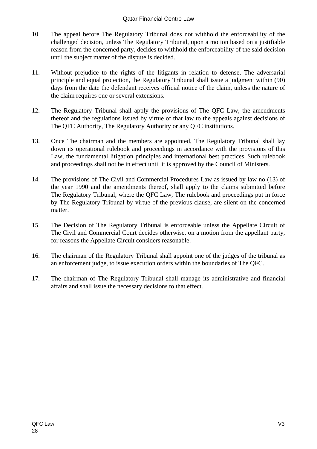- 10. The appeal before The Regulatory Tribunal does not withhold the enforceability of the challenged decision, unless The Regulatory Tribunal, upon a motion based on a justifiable reason from the concerned party, decides to withhold the enforceability of the said decision until the subject matter of the dispute is decided.
- 11. Without prejudice to the rights of the litigants in relation to defense, The adversarial principle and equal protection, the Regulatory Tribunal shall issue a judgment within (90) days from the date the defendant receives official notice of the claim, unless the nature of the claim requires one or several extensions.
- 12. The Regulatory Tribunal shall apply the provisions of The QFC Law, the amendments thereof and the regulations issued by virtue of that law to the appeals against decisions of The QFC Authority, The Regulatory Authority or any QFC institutions.
- 13. Once The chairman and the members are appointed, The Regulatory Tribunal shall lay down its operational rulebook and proceedings in accordance with the provisions of this Law, the fundamental litigation principles and international best practices. Such rulebook and proceedings shall not be in effect until it is approved by the Council of Ministers.
- 14. The provisions of The Civil and Commercial Procedures Law as issued by law no (13) of the year 1990 and the amendments thereof, shall apply to the claims submitted before The Regulatory Tribunal, where the QFC Law, The rulebook and proceedings put in force by The Regulatory Tribunal by virtue of the previous clause, are silent on the concerned matter.
- 15. The Decision of The Regulatory Tribunal is enforceable unless the Appellate Circuit of The Civil and Commercial Court decides otherwise, on a motion from the appellant party, for reasons the Appellate Circuit considers reasonable.
- 16. The chairman of the Regulatory Tribunal shall appoint one of the judges of the tribunal as an enforcement judge, to issue execution orders within the boundaries of The QFC.
- 17. The chairman of The Regulatory Tribunal shall manage its administrative and financial affairs and shall issue the necessary decisions to that effect.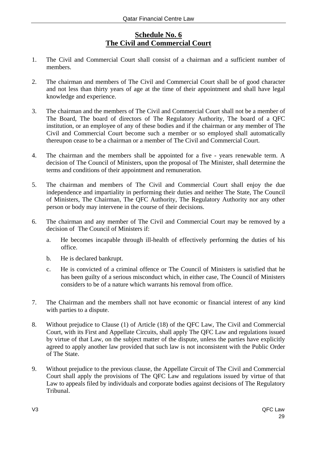## **Schedule No. 6 The Civil and Commercial Court**

- 1. The Civil and Commercial Court shall consist of a chairman and a sufficient number of members.
- 2. The chairman and members of The Civil and Commercial Court shall be of good character and not less than thirty years of age at the time of their appointment and shall have legal knowledge and experience.
- 3. The chairman and the members of The Civil and Commercial Court shall not be a member of The Board, The board of directors of The Regulatory Authority, The board of a QFC institution, or an employee of any of these bodies and if the chairman or any member of The Civil and Commercial Court become such a member or so employed shall automatically thereupon cease to be a chairman or a member of The Civil and Commercial Court.
- 4. The chairman and the members shall be appointed for a five years renewable term. A decision of The Council of Ministers, upon the proposal of The Minister, shall determine the terms and conditions of their appointment and remuneration.
- 5. The chairman and members of The Civil and Commercial Court shall enjoy the due independence and impartiality in performing their duties and neither The State, The Council of Ministers, The Chairman, The QFC Authority, The Regulatory Authority nor any other person or body may intervene in the course of their decisions.
- 6. The chairman and any member of The Civil and Commercial Court may be removed by a decision of The Council of Ministers if:
	- a. He becomes incapable through ill-health of effectively performing the duties of his office.
	- b. He is declared bankrupt.
	- c. He is convicted of a criminal offence or The Council of Ministers is satisfied that he has been guilty of a serious misconduct which, in either case, The Council of Ministers considers to be of a nature which warrants his removal from office.
- 7. The Chairman and the members shall not have economic or financial interest of any kind with parties to a dispute.
- 8. Without prejudice to Clause (1) of Article (18) of the QFC Law, The Civil and Commercial Court, with its First and Appellate Circuits, shall apply The QFC Law and regulations issued by virtue of that Law, on the subject matter of the dispute, unless the parties have explicitly agreed to apply another law provided that such law is not inconsistent with the Public Order of The State.
- 9. Without prejudice to the previous clause, the Appellate Circuit of The Civil and Commercial Court shall apply the provisions of The QFC Law and regulations issued by virtue of that Law to appeals filed by individuals and corporate bodies against decisions of The Regulatory Tribunal.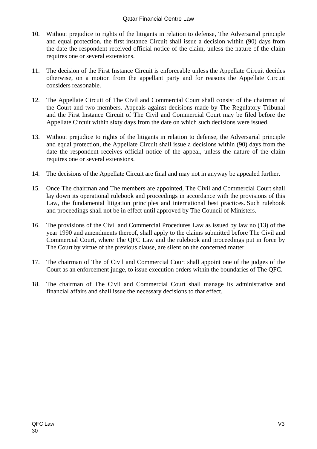- 10. Without prejudice to rights of the litigants in relation to defense, The Adversarial principle and equal protection, the first instance Circuit shall issue a decision within (90) days from the date the respondent received official notice of the claim, unless the nature of the claim requires one or several extensions.
- 11. The decision of the First Instance Circuit is enforceable unless the Appellate Circuit decides otherwise, on a motion from the appellant party and for reasons the Appellate Circuit considers reasonable.
- 12. The Appellate Circuit of The Civil and Commercial Court shall consist of the chairman of the Court and two members. Appeals against decisions made by The Regulatory Tribunal and the First Instance Circuit of The Civil and Commercial Court may be filed before the Appellate Circuit within sixty days from the date on which such decisions were issued.
- 13. Without prejudice to rights of the litigants in relation to defense, the Adversarial principle and equal protection, the Appellate Circuit shall issue a decisions within (90) days from the date the respondent receives official notice of the appeal, unless the nature of the claim requires one or several extensions.
- 14. The decisions of the Appellate Circuit are final and may not in anyway be appealed further.
- 15. Once The chairman and The members are appointed, The Civil and Commercial Court shall lay down its operational rulebook and proceedings in accordance with the provisions of this Law, the fundamental litigation principles and international best practices. Such rulebook and proceedings shall not be in effect until approved by The Council of Ministers.
- 16. The provisions of the Civil and Commercial Procedures Law as issued by law no (13) of the year 1990 and amendments thereof, shall apply to the claims submitted before The Civil and Commercial Court, where The QFC Law and the rulebook and proceedings put in force by The Court by virtue of the previous clause, are silent on the concerned matter.
- 17. The chairman of The of Civil and Commercial Court shall appoint one of the judges of the Court as an enforcement judge, to issue execution orders within the boundaries of The QFC.
- 18. The chairman of The Civil and Commercial Court shall manage its administrative and financial affairs and shall issue the necessary decisions to that effect.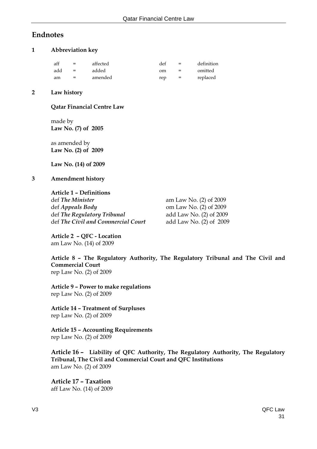## **Endnotes**

#### **1 Abbreviation key**

| aff | $=$ | affected | def | $=$ | definition |
|-----|-----|----------|-----|-----|------------|
| add | $=$ | added    | om  | $=$ | omitted    |
| am  | $=$ | amended  | rep | $=$ | replaced   |

#### **2 Law history**

#### **Qatar Financial Centre Law**

 made by  **Law No. (7) of 2005**

 as amended by  **Law No. (2) of 2009** 

 **Law No. (14) of 2009**

#### **3 Amendment history**

#### **Article 1 – Definitions**

def *The Minister*am Law No. (2) of 2009 def *Appeals Body* om Law No. (2) of 2009 def *The Regulatory Tribunal* add Law No. (2) of 2009 def *The Civil and Commercial Court* add Law No. (2) of 2009

**Article 2 – QFC - Location**  am Law No. (14) of 2009

#### **Article 8 – The Regulatory Authority, The Regulatory Tribunal and The Civil and Commercial Court**  rep Law No. (2) of 2009

**Article 9 – Power to make regulations**  rep Law No. (2) of 2009

**Article 14 – Treatment of Surpluses** rep Law No. (2) of 2009

 **Article 15 – Accounting Requirements**  rep Law No. (2) of 2009

**Article 16 – Liability of QFC Authority, The Regulatory Authority, The Regulatory Tribunal, The Civil and Commercial Court and QFC Institutions** am Law No. (2) of 2009

**Article 17 – Taxation**  aff Law No. (14) of 2009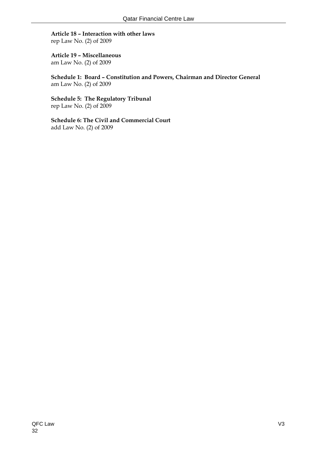## **Article 18 – Interaction with other laws**

rep Law No. (2) of 2009

## **Article 19 – Miscellaneous**

am Law No. (2) of 2009

**Schedule 1: Board – Constitution and Powers, Chairman and Director General**  am Law No. (2) of 2009

**Schedule 5: The Regulatory Tribunal**  rep Law No. (2) of 2009

**Schedule 6: The Civil and Commercial Court**  add Law No. (2) of 2009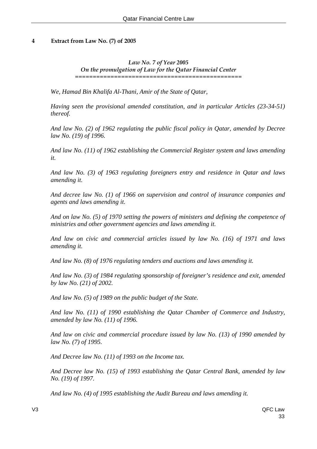#### **4 Extract from Law No. (7) of 2005**

*Law No. 7 of Year 2005 On the promulgation of Law for the Qatar Financial Center*  ===============================================

*We, Hamad Bin Khalifa Al-Thani, Amir of the State of Qatar,* 

*Having seen the provisional amended constitution, and in particular Articles (23-34-51) thereof.* 

*And law No. (2) of 1962 regulating the public fiscal policy in Qatar, amended by Decree law No. (19) of 1996.* 

*And law No. (11) of 1962 establishing the Commercial Register system and laws amending it.* 

*And law No. (3) of 1963 regulating foreigners entry and residence in Qatar and laws amending it.* 

*And decree law No. (1) of 1966 on supervision and control of insurance companies and agents and laws amending it.* 

*And on law No. (5) of 1970 setting the powers of ministers and defining the competence of ministries and other government agencies and laws amending it.* 

*And law on civic and commercial articles issued by law No. (16) of 1971 and laws amending it.* 

*And law No. (8) of 1976 regulating tenders and auctions and laws amending it.* 

*And law No. (3) of 1984 regulating sponsorship of foreigner's residence and exit, amended by law No. (21) of 2002.* 

*And law No. (5) of 1989 on the public budget of the State.* 

*And law No. (11) of 1990 establishing the Qatar Chamber of Commerce and Industry, amended by law No. (11) of 1996.* 

*And law on civic and commercial procedure issued by law No. (13) of 1990 amended by law No. (7) of 1995.* 

*And Decree law No. (11) of 1993 on the Income tax.* 

*And Decree law No. (15) of 1993 establishing the Qatar Central Bank, amended by law No. (19) of 1997.* 

*And law No. (4) of 1995 establishing the Audit Bureau and laws amending it.*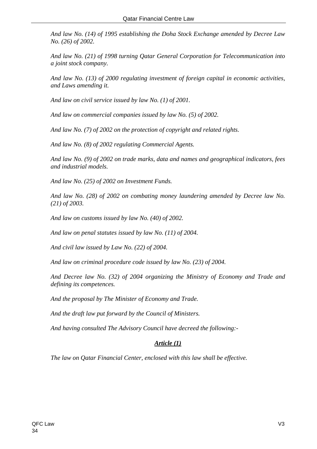*And law No. (14) of 1995 establishing the Doha Stock Exchange amended by Decree Law No. (26) of 2002.* 

*And law No. (21) of 1998 turning Qatar General Corporation for Telecommunication into a joint stock company.* 

*And law No. (13) of 2000 regulating investment of foreign capital in economic activities, and Laws amending it.* 

*And law on civil service issued by law No. (1) of 2001.* 

*And law on commercial companies issued by law No. (5) of 2002.* 

*And law No. (7) of 2002 on the protection of copyright and related rights.* 

*And law No. (8) of 2002 regulating Commercial Agents.* 

*And law No. (9) of 2002 on trade marks, data and names and geographical indicators, fees and industrial models.* 

*And law No. (25) of 2002 on Investment Funds.* 

*And law No. (28) of 2002 on combating money laundering amended by Decree law No. (21) of 2003.* 

*And law on customs issued by law No. (40) of 2002.* 

*And law on penal statutes issued by law No. (11) of 2004.* 

*And civil law issued by Law No. (22) of 2004.* 

*And law on criminal procedure code issued by law No. (23) of 2004.* 

*And Decree law No. (32) of 2004 organizing the Ministry of Economy and Trade and defining its competences.* 

*And the proposal by The Minister of Economy and Trade.* 

*And the draft law put forward by the Council of Ministers.* 

*And having consulted The Advisory Council have decreed the following:-* 

## *Article (1)*

*The law on Qatar Financial Center, enclosed with this law shall be effective.*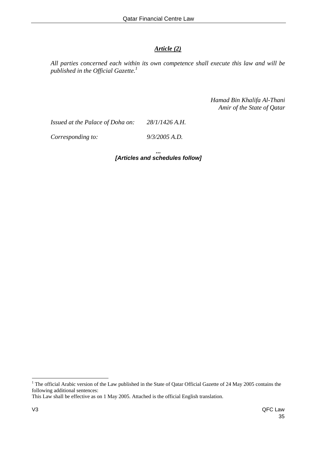## *Article (2)*

*All parties concerned each within its own competence shall execute this law and will be published in the Official Gazette.1*

> *Hamad Bin Khalifa Al-Thani Amir of the State of Qatar*

*Issued at the Palace of Doha on: 28/1/1426 A.H.* 

*Corresponding to: 9/3/2005 A.D.* 

*... [Articles and schedules follow]* 

 $\overline{a}$ 

<sup>&</sup>lt;sup>1</sup> The official Arabic version of the Law published in the State of Qatar Official Gazette of 24 May 2005 contains the following additional sentences:

This Law shall be effective as on 1 May 2005. Attached is the official English translation.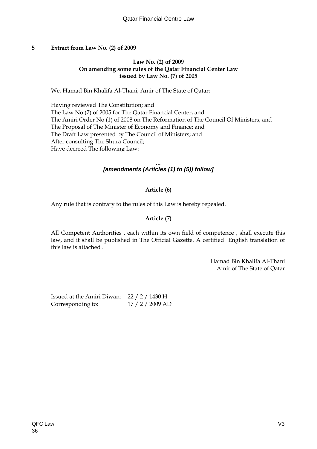#### **5 Extract from Law No. (2) of 2009**

#### **Law No. (2) of 2009 On amending some rules of the Qatar Financial Center Law issued by Law No. (7) of 2005**

We, Hamad Bin Khalifa Al-Thani, Amir of The State of Qatar;

 Having reviewed The Constitution; and The Law No (7) of 2005 for The Qatar Financial Center; and The Amiri Order No (1) of 2008 on The Reformation of The Council Of Ministers, and The Proposal of The Minister of Economy and Finance; and The Draft Law presented by The Council of Ministers; and After consulting The Shura Council; Have decreed The following Law:

> *... [amendments (Articles (1) to (5)) follow]*

## **Article (6)**

Any rule that is contrary to the rules of this Law is hereby repealed.

## **Article (7)**

 All Competent Authorities , each within its own field of competence , shall execute this law, and it shall be published in The Official Gazette. A certified English translation of this law is attached .

> Hamad Bin Khalifa Al-Thani Amir of The State of Qatar

Issued at the Amiri Diwan: 22 / 2 / 1430 H Corresponding to: 17 / 2 / 2009 AD